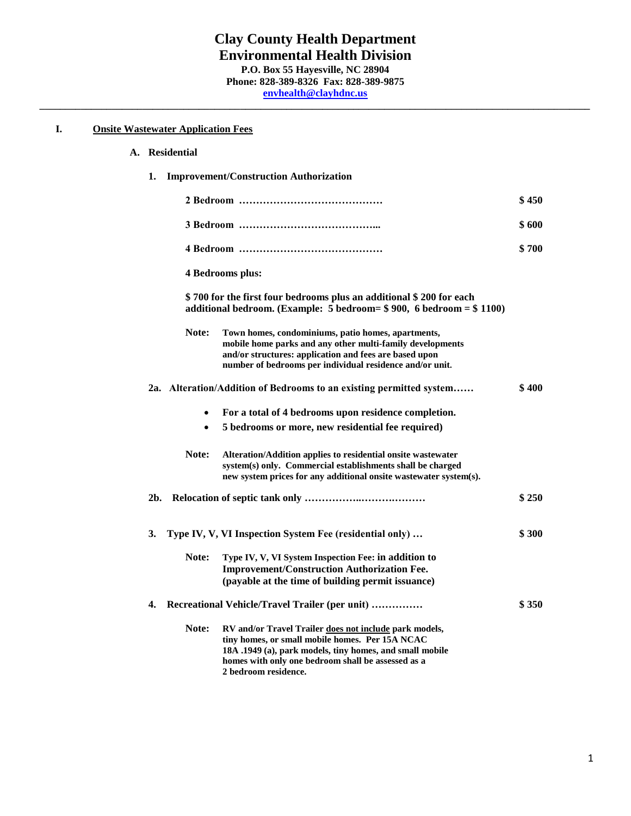## **I. Onsite Wastewater Application Fees**

| A. | <b>Residential</b> |
|----|--------------------|
|    |                    |

| 1.             |                         | <b>Improvement/Construction Authorization</b>                                                                                                                                                                                                       |       |
|----------------|-------------------------|-----------------------------------------------------------------------------------------------------------------------------------------------------------------------------------------------------------------------------------------------------|-------|
|                |                         |                                                                                                                                                                                                                                                     | \$450 |
|                |                         |                                                                                                                                                                                                                                                     | \$600 |
|                |                         |                                                                                                                                                                                                                                                     | \$700 |
|                | <b>4 Bedrooms plus:</b> |                                                                                                                                                                                                                                                     |       |
|                |                         | \$700 for the first four bedrooms plus an additional \$200 for each<br>additional bedroom. (Example: 5 bedroom= $$900, 6$ bedroom = $$1100$ )                                                                                                       |       |
|                | Note:                   | Town homes, condominiums, patio homes, apartments,<br>mobile home parks and any other multi-family developments<br>and/or structures: application and fees are based upon<br>number of bedrooms per individual residence and/or unit.               |       |
|                |                         | 2a. Alteration/Addition of Bedrooms to an existing permitted system                                                                                                                                                                                 | \$400 |
|                | $\bullet$<br>$\bullet$  | For a total of 4 bedrooms upon residence completion.<br>5 bedrooms or more, new residential fee required)                                                                                                                                           |       |
|                | Note:                   | Alteration/Addition applies to residential onsite wastewater<br>system(s) only. Commercial establishments shall be charged<br>new system prices for any additional onsite was tewater system(s).                                                    |       |
| 2 <sub>b</sub> |                         |                                                                                                                                                                                                                                                     | \$250 |
| 3.             |                         | Type IV, V, VI Inspection System Fee (residential only)                                                                                                                                                                                             | \$300 |
|                | Note:                   | Type IV, V, VI System Inspection Fee: in addition to<br><b>Improvement/Construction Authorization Fee.</b><br>(payable at the time of building permit issuance)                                                                                     |       |
| 4.             |                         | Recreational Vehicle/Travel Trailer (per unit)                                                                                                                                                                                                      | \$350 |
|                | Note:                   | RV and/or Travel Trailer does not include park models,<br>tiny homes, or small mobile homes. Per 15A NCAC<br>18A .1949 (a), park models, tiny homes, and small mobile<br>homes with only one bedroom shall be assessed as a<br>2 bedroom residence. |       |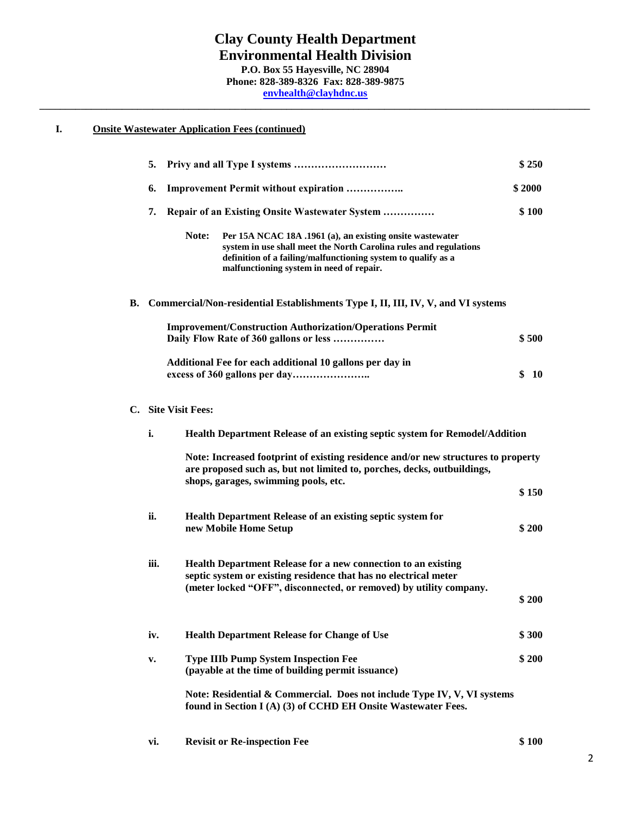# **I. Onsite Wastewater Application Fees (continued)**

|                     | 5.   |                                                                                                                                                                                                                                                      | \$250     |
|---------------------|------|------------------------------------------------------------------------------------------------------------------------------------------------------------------------------------------------------------------------------------------------------|-----------|
|                     | 6.   | <b>Improvement Permit without expiration </b>                                                                                                                                                                                                        | \$2000    |
|                     | 7.   | <b>Repair of an Existing Onsite Wastewater System </b>                                                                                                                                                                                               | \$100     |
|                     |      | Note:<br>Per 15A NCAC 18A .1961 (a), an existing onsite wastewater<br>system in use shall meet the North Carolina rules and regulations<br>definition of a failing/malfunctioning system to qualify as a<br>malfunctioning system in need of repair. |           |
|                     |      | B. Commercial/Non-residential Establishments Type I, II, III, IV, V, and VI systems                                                                                                                                                                  |           |
|                     |      | <b>Improvement/Construction Authorization/Operations Permit</b><br>Daily Flow Rate of 360 gallons or less                                                                                                                                            | \$500     |
|                     |      | Additional Fee for each additional 10 gallons per day in                                                                                                                                                                                             | \$<br>-10 |
| C. Site Visit Fees: |      |                                                                                                                                                                                                                                                      |           |
|                     | i.   | Health Department Release of an existing septic system for Remodel/Addition                                                                                                                                                                          |           |
|                     |      | Note: Increased footprint of existing residence and/or new structures to property<br>are proposed such as, but not limited to, porches, decks, outbuildings,<br>shops, garages, swimming pools, etc.                                                 |           |
|                     |      |                                                                                                                                                                                                                                                      | \$150     |
|                     | ii.  | <b>Health Department Release of an existing septic system for</b><br>new Mobile Home Setup                                                                                                                                                           | \$200     |
|                     | iii. | <b>Health Department Release for a new connection to an existing</b><br>septic system or existing residence that has no electrical meter<br>(meter locked "OFF", disconnected, or removed) by utility company.                                       |           |
|                     |      |                                                                                                                                                                                                                                                      | \$200     |
|                     | iv.  | <b>Health Department Release for Change of Use</b>                                                                                                                                                                                                   | \$300     |
|                     | v.   | <b>Type IIIb Pump System Inspection Fee</b><br>(payable at the time of building permit issuance)                                                                                                                                                     | \$200     |
|                     |      | Note: Residential & Commercial. Does not include Type IV, V, VI systems<br>found in Section I (A) (3) of CCHD EH Onsite Wastewater Fees.                                                                                                             |           |
|                     |      |                                                                                                                                                                                                                                                      |           |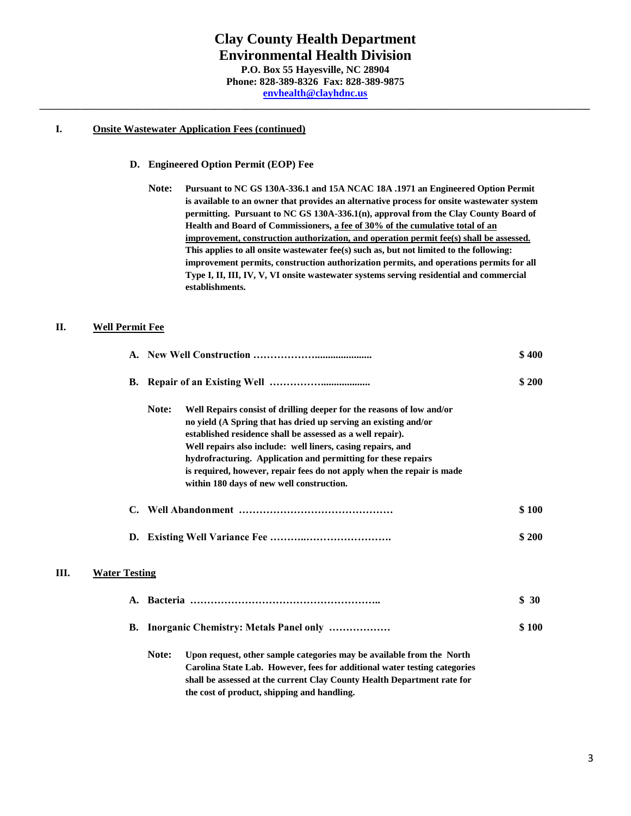## **I. Onsite Wastewater Application Fees (continued)**

## **D. Engineered Option Permit (EOP) Fee**

**Note: Pursuant to NC GS 130A-336.1 and 15A NCAC 18A .1971 an Engineered Option Permit is available to an owner that provides an alternative process for onsite wastewater system permitting. Pursuant to NC GS 130A-336.1(n), approval from the Clay County Board of Health and Board of Commissioners, a fee of 30% of the cumulative total of an improvement, construction authorization, and operation permit fee(s) shall be assessed. This applies to all onsite wastewater fee(s) such as, but not limited to the following: improvement permits, construction authorization permits, and operations permits for all Type I, II, III, IV, V, VI onsite wastewater systems serving residential and commercial establishments.** 

# **II. Well Permit Fee**

|      |                      |                                                                                                                                                                                                                                                                                                                                                                                                                                                                        | \$400 |
|------|----------------------|------------------------------------------------------------------------------------------------------------------------------------------------------------------------------------------------------------------------------------------------------------------------------------------------------------------------------------------------------------------------------------------------------------------------------------------------------------------------|-------|
|      |                      |                                                                                                                                                                                                                                                                                                                                                                                                                                                                        | \$200 |
|      |                      | Note:<br>Well Repairs consist of drilling deeper for the reasons of low and/or<br>no yield (A Spring that has dried up serving an existing and/or<br>established residence shall be assessed as a well repair).<br>Well repairs also include: well liners, casing repairs, and<br>hydrofracturing. Application and permitting for these repairs<br>is required, however, repair fees do not apply when the repair is made<br>within 180 days of new well construction. |       |
|      |                      |                                                                                                                                                                                                                                                                                                                                                                                                                                                                        | \$100 |
|      |                      |                                                                                                                                                                                                                                                                                                                                                                                                                                                                        | \$200 |
| III. | <b>Water Testing</b> |                                                                                                                                                                                                                                                                                                                                                                                                                                                                        |       |
|      |                      |                                                                                                                                                                                                                                                                                                                                                                                                                                                                        | \$30  |
|      |                      | B. Inorganic Chemistry: Metals Panel only                                                                                                                                                                                                                                                                                                                                                                                                                              | \$100 |
|      |                      | Note:<br>Upon request, other sample categories may be available from the North<br>Carolina State Lab. However, fees for additional water testing categories<br>shall be assessed at the current Clay County Health Department rate for<br>the cost of product, shipping and handling.                                                                                                                                                                                  |       |